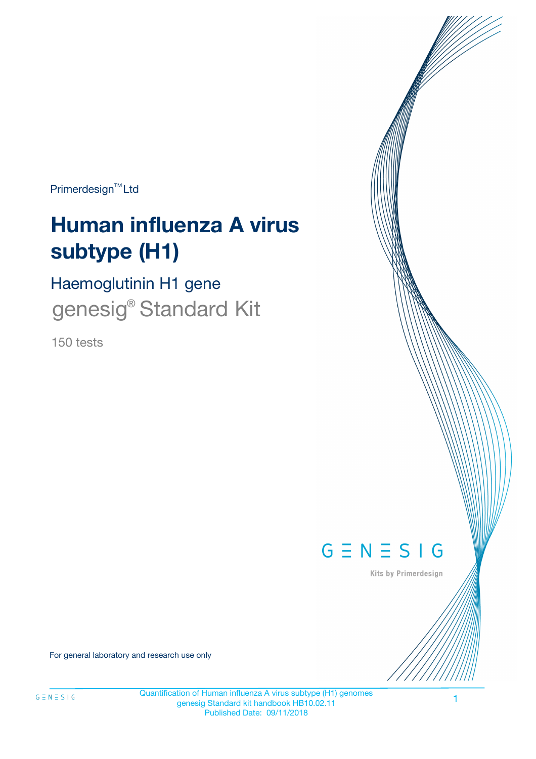Primerdesign<sup>™</sup>Ltd

# **Human influenza A virus subtype (H1)**

Haemoglutinin H1 gene genesig<sup>®</sup> Standard Kit

150 tests



Kits by Primerdesign

For general laboratory and research use only

1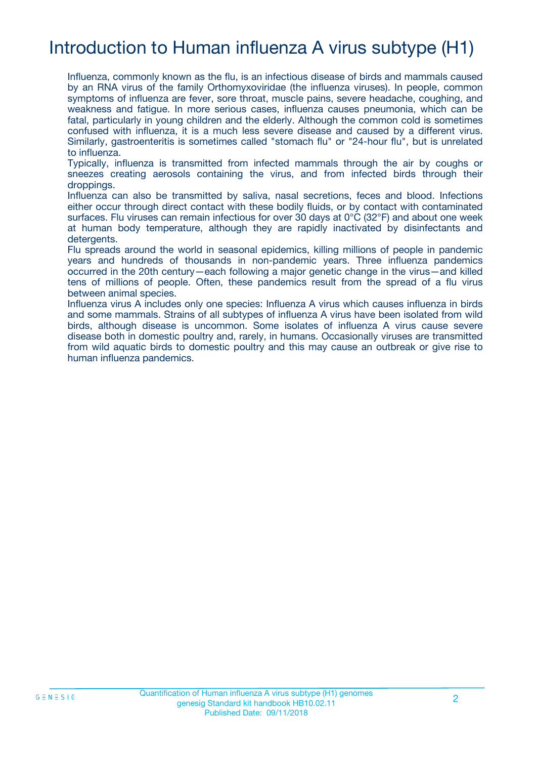# Introduction to Human influenza A virus subtype (H1)

Influenza, commonly known as the flu, is an infectious disease of birds and mammals caused by an RNA virus of the family Orthomyxoviridae (the influenza viruses). In people, common symptoms of influenza are fever, sore throat, muscle pains, severe headache, coughing, and weakness and fatigue. In more serious cases, influenza causes pneumonia, which can be fatal, particularly in young children and the elderly. Although the common cold is sometimes confused with influenza, it is a much less severe disease and caused by a different virus. Similarly, gastroenteritis is sometimes called "stomach flu" or "24-hour flu", but is unrelated to influenza.

Typically, influenza is transmitted from infected mammals through the air by coughs or sneezes creating aerosols containing the virus, and from infected birds through their droppings.

Influenza can also be transmitted by saliva, nasal secretions, feces and blood. Infections either occur through direct contact with these bodily fluids, or by contact with contaminated surfaces. Flu viruses can remain infectious for over 30 days at 0°C (32°F) and about one week at human body temperature, although they are rapidly inactivated by disinfectants and detergents.

Flu spreads around the world in seasonal epidemics, killing millions of people in pandemic years and hundreds of thousands in non-pandemic years. Three influenza pandemics occurred in the 20th century—each following a major genetic change in the virus—and killed tens of millions of people. Often, these pandemics result from the spread of a flu virus between animal species.

Influenza virus A includes only one species: Influenza A virus which causes influenza in birds and some mammals. Strains of all subtypes of influenza A virus have been isolated from wild birds, although disease is uncommon. Some isolates of influenza A virus cause severe disease both in domestic poultry and, rarely, in humans. Occasionally viruses are transmitted from wild aquatic birds to domestic poultry and this may cause an outbreak or give rise to human influenza pandemics.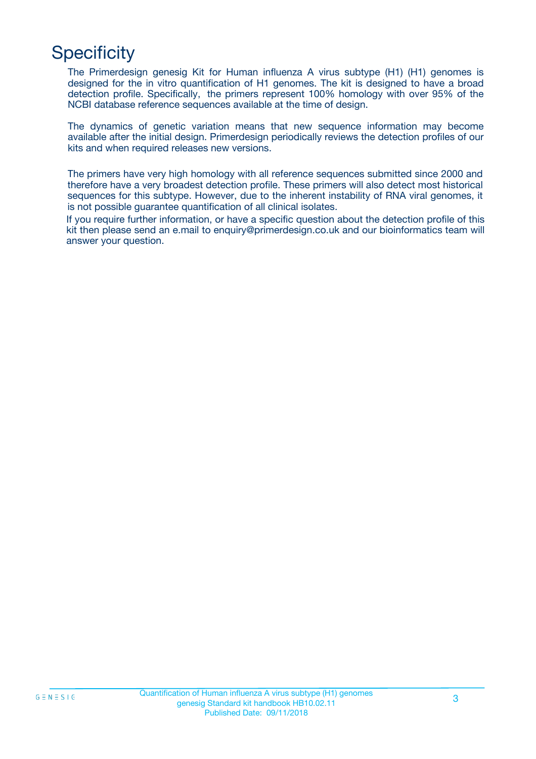# **Specificity**

The Primerdesign genesig Kit for Human influenza A virus subtype (H1) (H1) genomes is designed for the in vitro quantification of H1 genomes. The kit is designed to have a broad detection profile. Specifically, the primers represent 100% homology with over 95% of the NCBI database reference sequences available at the time of design.

The dynamics of genetic variation means that new sequence information may become available after the initial design. Primerdesign periodically reviews the detection profiles of our kits and when required releases new versions.

The primers have very high homology with all reference sequences submitted since 2000 and therefore have a very broadest detection profile. These primers will also detect most historical sequences for this subtype. However, due to the inherent instability of RNA viral genomes, it is not possible guarantee quantification of all clinical isolates.

If you require further information, or have a specific question about the detection profile of this kit then please send an e.mail to enquiry@primerdesign.co.uk and our bioinformatics team will answer your question.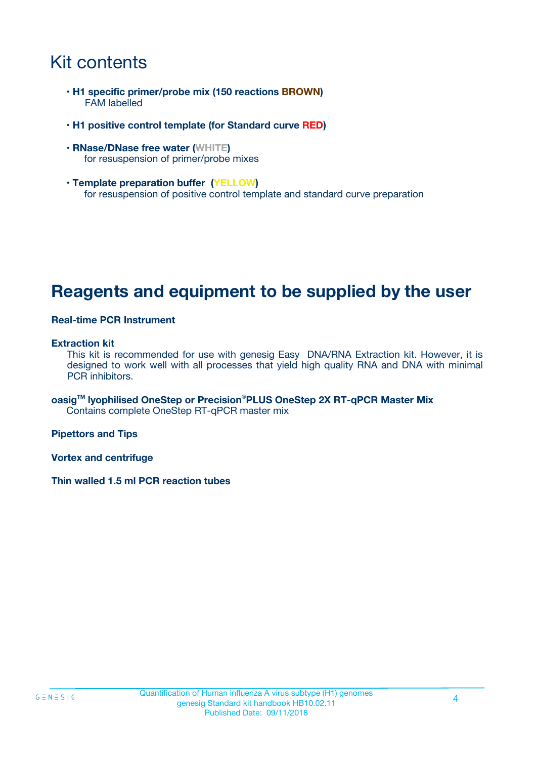# Kit contents

- **H1 specific primer/probe mix (150 reactions BROWN)** FAM labelled
- **H1 positive control template (for Standard curve RED)**
- **RNase/DNase free water (WHITE)** for resuspension of primer/probe mixes
- **Template preparation buffer (YELLOW)** for resuspension of positive control template and standard curve preparation

### **Reagents and equipment to be supplied by the user**

#### **Real-time PCR Instrument**

#### **Extraction kit**

This kit is recommended for use with genesig Easy DNA/RNA Extraction kit. However, it is designed to work well with all processes that yield high quality RNA and DNA with minimal PCR inhibitors.

**oasigTM lyophilised OneStep or Precision**®**PLUS OneStep 2X RT-qPCR Master Mix** Contains complete OneStep RT-qPCR master mix

**Pipettors and Tips**

**Vortex and centrifuge**

**Thin walled 1.5 ml PCR reaction tubes**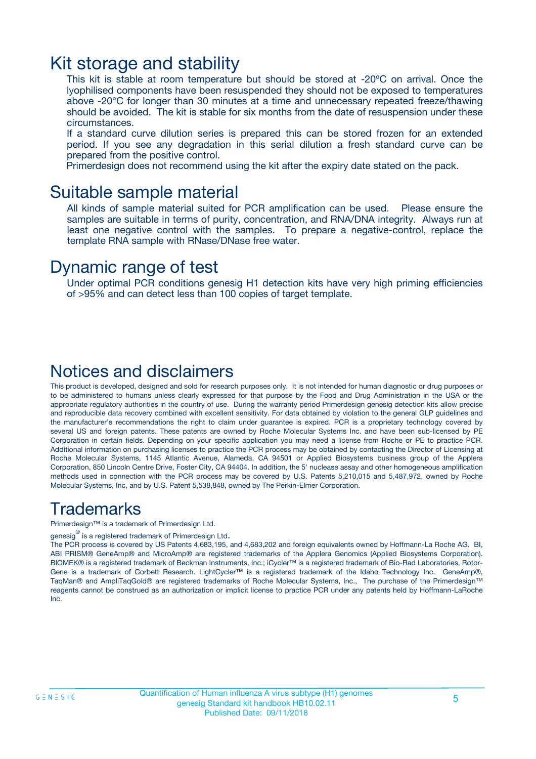### Kit storage and stability

This kit is stable at room temperature but should be stored at -20ºC on arrival. Once the lyophilised components have been resuspended they should not be exposed to temperatures above -20°C for longer than 30 minutes at a time and unnecessary repeated freeze/thawing should be avoided. The kit is stable for six months from the date of resuspension under these circumstances.

If a standard curve dilution series is prepared this can be stored frozen for an extended period. If you see any degradation in this serial dilution a fresh standard curve can be prepared from the positive control.

Primerdesign does not recommend using the kit after the expiry date stated on the pack.

### Suitable sample material

All kinds of sample material suited for PCR amplification can be used. Please ensure the samples are suitable in terms of purity, concentration, and RNA/DNA integrity. Always run at least one negative control with the samples. To prepare a negative-control, replace the template RNA sample with RNase/DNase free water.

### Dynamic range of test

Under optimal PCR conditions genesig H1 detection kits have very high priming efficiencies of >95% and can detect less than 100 copies of target template.

### Notices and disclaimers

This product is developed, designed and sold for research purposes only. It is not intended for human diagnostic or drug purposes or to be administered to humans unless clearly expressed for that purpose by the Food and Drug Administration in the USA or the appropriate regulatory authorities in the country of use. During the warranty period Primerdesign genesig detection kits allow precise and reproducible data recovery combined with excellent sensitivity. For data obtained by violation to the general GLP guidelines and the manufacturer's recommendations the right to claim under guarantee is expired. PCR is a proprietary technology covered by several US and foreign patents. These patents are owned by Roche Molecular Systems Inc. and have been sub-licensed by PE Corporation in certain fields. Depending on your specific application you may need a license from Roche or PE to practice PCR. Additional information on purchasing licenses to practice the PCR process may be obtained by contacting the Director of Licensing at Roche Molecular Systems, 1145 Atlantic Avenue, Alameda, CA 94501 or Applied Biosystems business group of the Applera Corporation, 850 Lincoln Centre Drive, Foster City, CA 94404. In addition, the 5' nuclease assay and other homogeneous amplification methods used in connection with the PCR process may be covered by U.S. Patents 5,210,015 and 5,487,972, owned by Roche Molecular Systems, Inc, and by U.S. Patent 5,538,848, owned by The Perkin-Elmer Corporation.

### Trademarks

Primerdesign™ is a trademark of Primerdesign Ltd.

genesig $^\circledR$  is a registered trademark of Primerdesign Ltd.

The PCR process is covered by US Patents 4,683,195, and 4,683,202 and foreign equivalents owned by Hoffmann-La Roche AG. BI, ABI PRISM® GeneAmp® and MicroAmp® are registered trademarks of the Applera Genomics (Applied Biosystems Corporation). BIOMEK® is a registered trademark of Beckman Instruments, Inc.; iCycler™ is a registered trademark of Bio-Rad Laboratories, Rotor-Gene is a trademark of Corbett Research. LightCycler™ is a registered trademark of the Idaho Technology Inc. GeneAmp®, TaqMan® and AmpliTaqGold® are registered trademarks of Roche Molecular Systems, Inc., The purchase of the Primerdesign™ reagents cannot be construed as an authorization or implicit license to practice PCR under any patents held by Hoffmann-LaRoche Inc.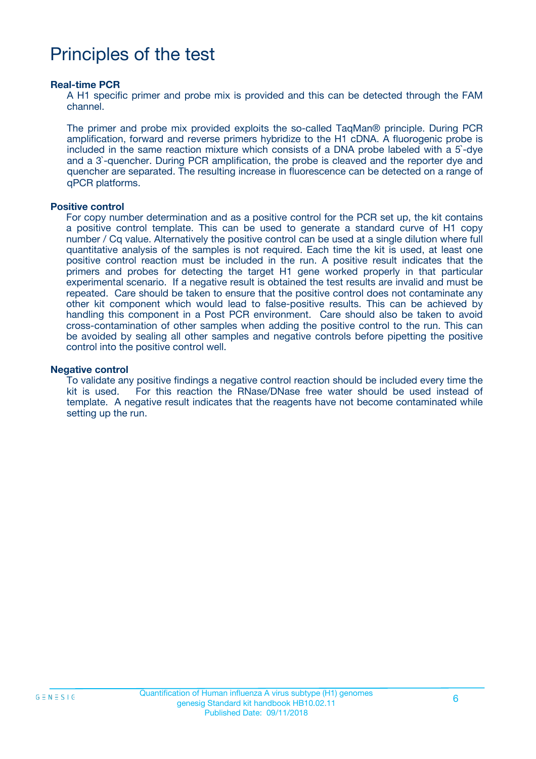# Principles of the test

#### **Real-time PCR**

A H1 specific primer and probe mix is provided and this can be detected through the FAM channel.

The primer and probe mix provided exploits the so-called TaqMan® principle. During PCR amplification, forward and reverse primers hybridize to the H1 cDNA. A fluorogenic probe is included in the same reaction mixture which consists of a DNA probe labeled with a 5`-dye and a 3`-quencher. During PCR amplification, the probe is cleaved and the reporter dye and quencher are separated. The resulting increase in fluorescence can be detected on a range of qPCR platforms.

#### **Positive control**

For copy number determination and as a positive control for the PCR set up, the kit contains a positive control template. This can be used to generate a standard curve of H1 copy number / Cq value. Alternatively the positive control can be used at a single dilution where full quantitative analysis of the samples is not required. Each time the kit is used, at least one positive control reaction must be included in the run. A positive result indicates that the primers and probes for detecting the target H1 gene worked properly in that particular experimental scenario. If a negative result is obtained the test results are invalid and must be repeated. Care should be taken to ensure that the positive control does not contaminate any other kit component which would lead to false-positive results. This can be achieved by handling this component in a Post PCR environment. Care should also be taken to avoid cross-contamination of other samples when adding the positive control to the run. This can be avoided by sealing all other samples and negative controls before pipetting the positive control into the positive control well.

#### **Negative control**

To validate any positive findings a negative control reaction should be included every time the kit is used. For this reaction the RNase/DNase free water should be used instead of template. A negative result indicates that the reagents have not become contaminated while setting up the run.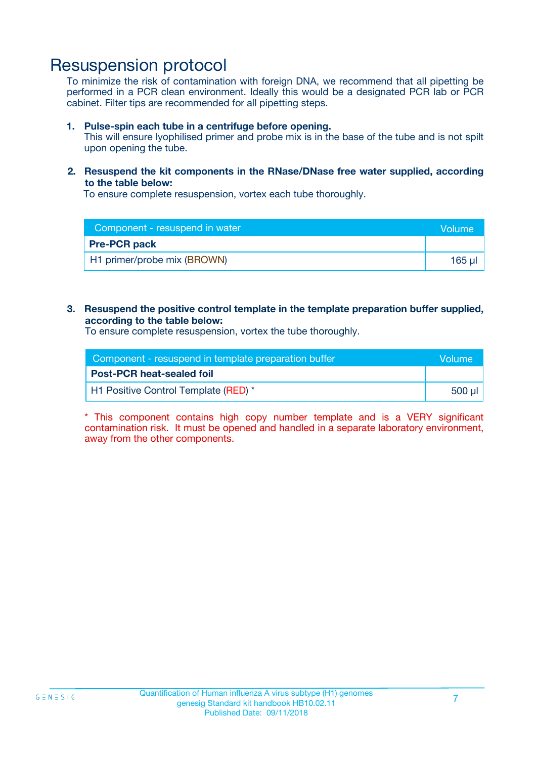### Resuspension protocol

To minimize the risk of contamination with foreign DNA, we recommend that all pipetting be performed in a PCR clean environment. Ideally this would be a designated PCR lab or PCR cabinet. Filter tips are recommended for all pipetting steps.

#### **1. Pulse-spin each tube in a centrifuge before opening.**

This will ensure lyophilised primer and probe mix is in the base of the tube and is not spilt upon opening the tube.

#### **2. Resuspend the kit components in the RNase/DNase free water supplied, according to the table below:**

To ensure complete resuspension, vortex each tube thoroughly.

| Component - resuspend in water | <b>Volume</b> |
|--------------------------------|---------------|
| <b>Pre-PCR pack</b>            |               |
| H1 primer/probe mix (BROWN)    | 165 ul        |

#### **3. Resuspend the positive control template in the template preparation buffer supplied, according to the table below:**

To ensure complete resuspension, vortex the tube thoroughly.

| Component - resuspend in template preparation buffer |        |  |
|------------------------------------------------------|--------|--|
| <b>Post-PCR heat-sealed foil</b>                     |        |  |
| H1 Positive Control Template (RED) *                 | 500 µl |  |

\* This component contains high copy number template and is a VERY significant contamination risk. It must be opened and handled in a separate laboratory environment, away from the other components.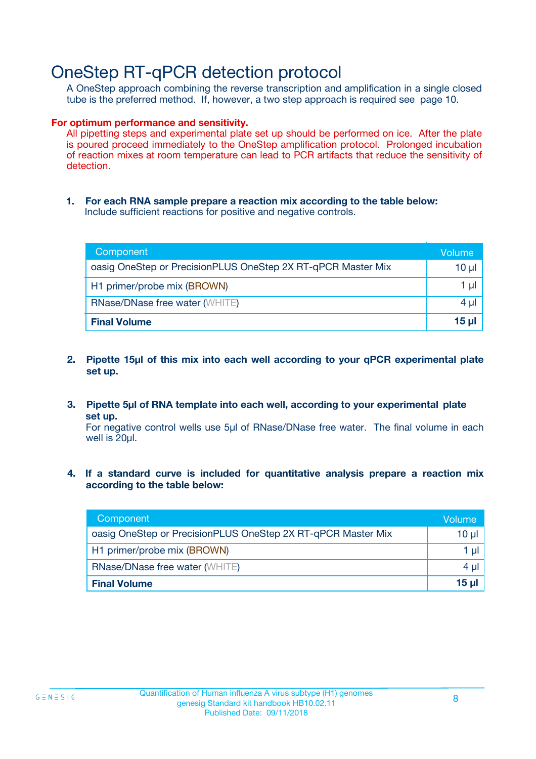# OneStep RT-qPCR detection protocol

A OneStep approach combining the reverse transcription and amplification in a single closed tube is the preferred method. If, however, a two step approach is required see page 10.

#### **For optimum performance and sensitivity.**

All pipetting steps and experimental plate set up should be performed on ice. After the plate is poured proceed immediately to the OneStep amplification protocol. Prolonged incubation of reaction mixes at room temperature can lead to PCR artifacts that reduce the sensitivity of detection.

**1. For each RNA sample prepare a reaction mix according to the table below:** Include sufficient reactions for positive and negative controls.

| Component                                                    | Volume     |
|--------------------------------------------------------------|------------|
| oasig OneStep or PrecisionPLUS OneStep 2X RT-qPCR Master Mix | $10 \mu$   |
| H1 primer/probe mix (BROWN)                                  | 1 µl       |
| <b>RNase/DNase free water (WHITE)</b>                        | 4 µl       |
| <b>Final Volume</b>                                          | $15$ $\mu$ |

- **2. Pipette 15µl of this mix into each well according to your qPCR experimental plate set up.**
- **3. Pipette 5µl of RNA template into each well, according to your experimental plate set up.**

For negative control wells use 5µl of RNase/DNase free water. The final volume in each well is 20ul.

**4. If a standard curve is included for quantitative analysis prepare a reaction mix according to the table below:**

| Component                                                    | Volume |
|--------------------------------------------------------------|--------|
| oasig OneStep or PrecisionPLUS OneStep 2X RT-qPCR Master Mix | 10 µl  |
| H1 primer/probe mix (BROWN)                                  | 1 µl   |
| <b>RNase/DNase free water (WHITE)</b>                        | 4 µl   |
| <b>Final Volume</b>                                          | 15 ul  |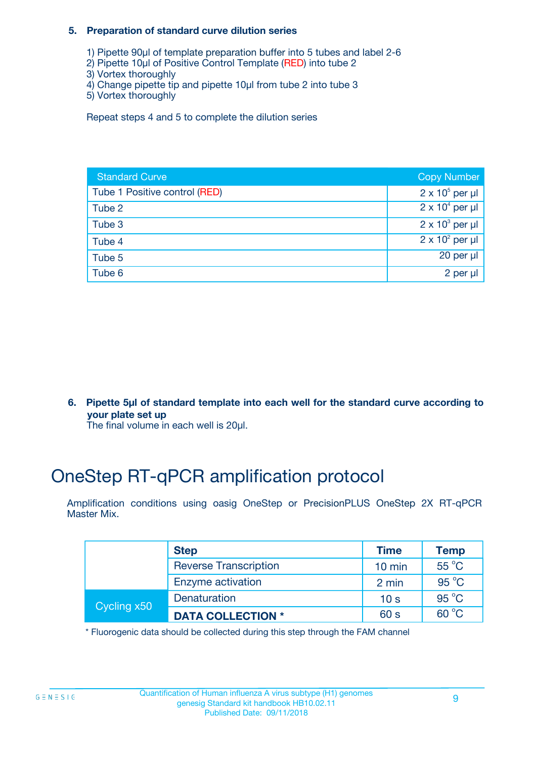#### **5. Preparation of standard curve dilution series**

- 1) Pipette 90µl of template preparation buffer into 5 tubes and label 2-6
- 2) Pipette 10µl of Positive Control Template (RED) into tube 2
- 3) Vortex thoroughly
- 4) Change pipette tip and pipette 10µl from tube 2 into tube 3
- 5) Vortex thoroughly

Repeat steps 4 and 5 to complete the dilution series

| <b>Standard Curve</b>         | <b>Copy Number</b>     |
|-------------------------------|------------------------|
| Tube 1 Positive control (RED) | $2 \times 10^5$ per µl |
| Tube 2                        | $2 \times 10^4$ per µl |
| Tube 3                        | $2 \times 10^3$ per µl |
| Tube 4                        | $2 \times 10^2$ per µl |
| Tube 5                        | 20 per $\mu$           |
| Tube 6                        | 2 per µl               |

**6. Pipette 5µl of standard template into each well for the standard curve according to your plate set up**

The final volume in each well is 20ul.

# OneStep RT-qPCR amplification protocol

Amplification conditions using oasig OneStep or PrecisionPLUS OneStep 2X RT-qPCR Master Mix.

|             | <b>Step</b>                  | <b>Time</b>      | <b>Temp</b>    |
|-------------|------------------------------|------------------|----------------|
|             | <b>Reverse Transcription</b> | $10 \text{ min}$ | 55 °C          |
|             | Enzyme activation            | 2 min            | $95^{\circ}$ C |
| Cycling x50 | Denaturation                 | 10 <sub>s</sub>  | $95^{\circ}$ C |
|             | <b>DATA COLLECTION *</b>     | 60 s             | $60^{\circ}$ C |

\* Fluorogenic data should be collected during this step through the FAM channel